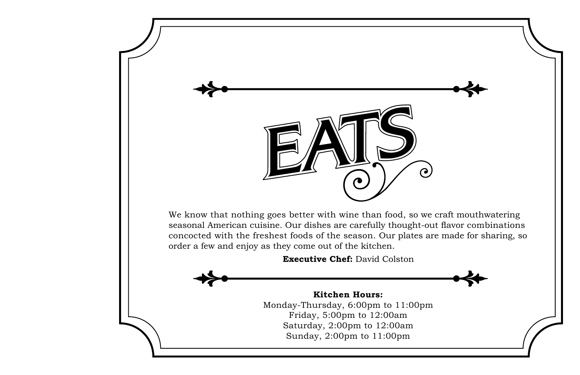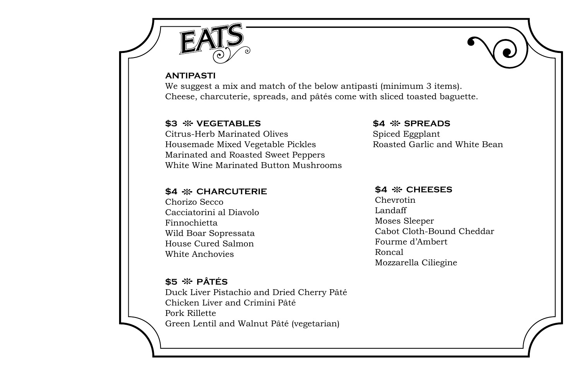

#### **ANTIPASTI**

We suggest a mix and match of the below antipasti (minimum 3 items). Cheese, charcuterie, spreads, and pâtés come with sliced toasted baguette.

### **\$3 vegetables**

Citrus-Herb Marinated Olives Housemade Mixed Vegetable Pickles Marinated and Roasted Sweet Peppers White Wine Marinated Button Mushrooms

### **\$4 charcuterie**

Chorizo Secco Cacciatorini al Diavolo Finnochietta Wild Boar Sopressata House Cured Salmon White Anchovies

## **\$5 Pâtés**

Duck Liver Pistachio and Dried Cherry Pâté Chicken Liver and Crimini Pâté Pork Rillette Green Lentil and Walnut Pâté (vegetarian)

#### **\$4 spreads**

Spiced Eggplant Roasted Garlic and White Bean

#### **\$4 % CHEESES**

Chevrotin Landaff Moses Sleeper Cabot Cloth-Bound Cheddar Fourme d'Ambert Roncal Mozzarella Ciliegine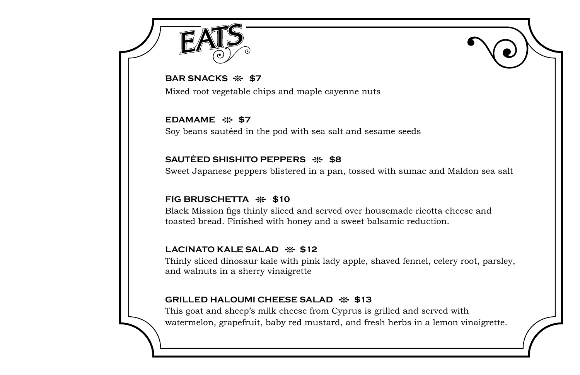

**BAR SNACKS**  $\frac{16}{27}$  **\$7** 

Mixed root vegetable chips and maple cayenne nuts

**EDAMAME \$7** Soy beans sautéed in the pod with sea salt and sesame seeds

# **SAUTÉED SHISHITO PEPPERS**  $\frac{16}{20}$  **\$8**

Sweet Japanese peppers blistered in a pan, tossed with sumac and Maldon sea salt

# **FIG BRUSCHETTA**  $\frac{16}{20}$  **\$10**

Black Mission figs thinly sliced and served over housemade ricotta cheese and toasted bread. Finished with honey and a sweet balsamic reduction.

## LACINATO KALE SALAD  $\cdot$  \$12

Thinly sliced dinosaur kale with pink lady apple, shaved fennel, celery root, parsley, and walnuts in a sherry vinaigrette

## **GRILLED HALOUMI CHEESE SALAD**  $\frac{16}{3}$  **\$13**

This goat and sheep's milk cheese from Cyprus is grilled and served with watermelon, grapefruit, baby red mustard, and fresh herbs in a lemon vinaigrette.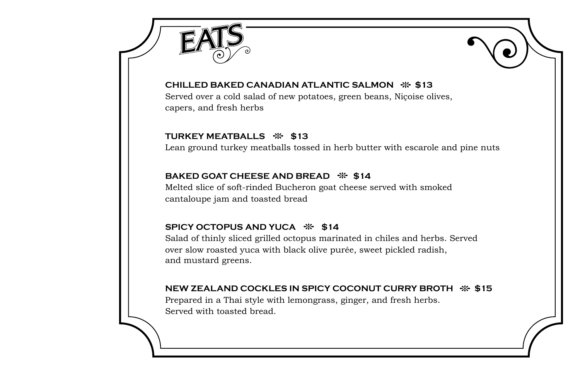



### **Chilled Baked Canadian Atlantic Salmon \$13**

Served over a cold salad of new potatoes, green beans, Niçoise olives, capers, and fresh herbs

### **TURKEY MEATBALLS**  $\frac{16}{25}$  **\$13**

Lean ground turkey meatballs tossed in herb butter with escarole and pine nuts

### **BAKED GOAT CHEESE AND BREAD**  $\cdot\mathbf{k}$  **\$14**

Melted slice of soft-rinded Bucheron goat cheese served with smoked cantaloupe jam and toasted bread

## **SPICY OCTOPUS AND YUCA**  $\%$  **\$14**

Salad of thinly sliced grilled octopus marinated in chiles and herbs. Served over slow roasted yuca with black olive purée, sweet pickled radish, and mustard greens.

### **NEW ZEALAND COCKLES IN SPICY COCONUT CURRY BROTH**  $\div$  **\$15**

Prepared in a Thai style with lemongrass, ginger, and fresh herbs. Served with toasted bread.